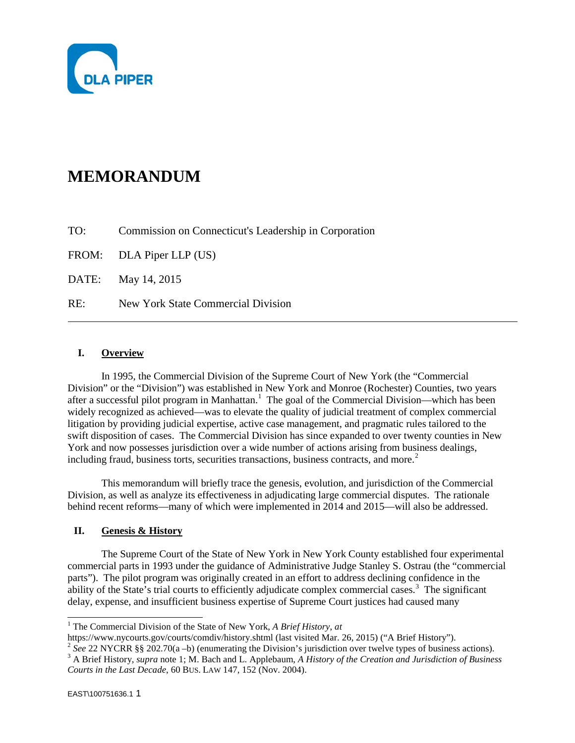

# **MEMORANDUM**

TO: Commission on Connecticut's Leadership in Corporation

FROM: DLA Piper LLP (US)

DATE: May 14, 2015

RE: New York State Commercial Division

## **I. Overview**

In 1995, the Commercial Division of the Supreme Court of New York (the "Commercial Division" or the "Division") was established in New York and Monroe (Rochester) Counties, two years after a successful pilot program in Manhattan.<sup>[1](#page-0-0)</sup> The goal of the Commercial Division—which has been widely recognized as achieved—was to elevate the quality of judicial treatment of complex commercial litigation by providing judicial expertise, active case management, and pragmatic rules tailored to the swift disposition of cases. The Commercial Division has since expanded to over twenty counties in New York and now possesses jurisdiction over a wide number of actions arising from business dealings, including fraud, business torts, securities transactions, business contracts, and more.<sup>[2](#page-0-1)</sup>

This memorandum will briefly trace the genesis, evolution, and jurisdiction of the Commercial Division, as well as analyze its effectiveness in adjudicating large commercial disputes. The rationale behind recent reforms—many of which were implemented in 2014 and 2015—will also be addressed.

#### **II. Genesis & History**

The Supreme Court of the State of New York in New York County established four experimental commercial parts in 1993 under the guidance of Administrative Judge Stanley S. Ostrau (the "commercial parts"). The pilot program was originally created in an effort to address declining confidence in the ability of the State's trial courts to efficiently adjudicate complex commercial cases.<sup>[3](#page-0-2)</sup> The significant delay, expense, and insufficient business expertise of Supreme Court justices had caused many

<span id="page-0-0"></span><sup>1</sup> The Commercial Division of the State of New York, *A Brief History*, *at* https://www.nycourts.gov/courts/comdiv/history.shtml (last visited Mar. 26, 2015) ("A Brief History").

<span id="page-0-2"></span><span id="page-0-1"></span><sup>&</sup>lt;sup>2</sup> See 22 NYCRR §§ 202.70(a -b) (enumerating the Division's jurisdiction over twelve types of business actions).<br><sup>3</sup> A Brief History, *supra* note 1; M. Bach and L. Applebaum, A History of the Creation and Jurisdiction o *Courts in the Last Decade*, 60 BUS. LAW 147, 152 (Nov. 2004).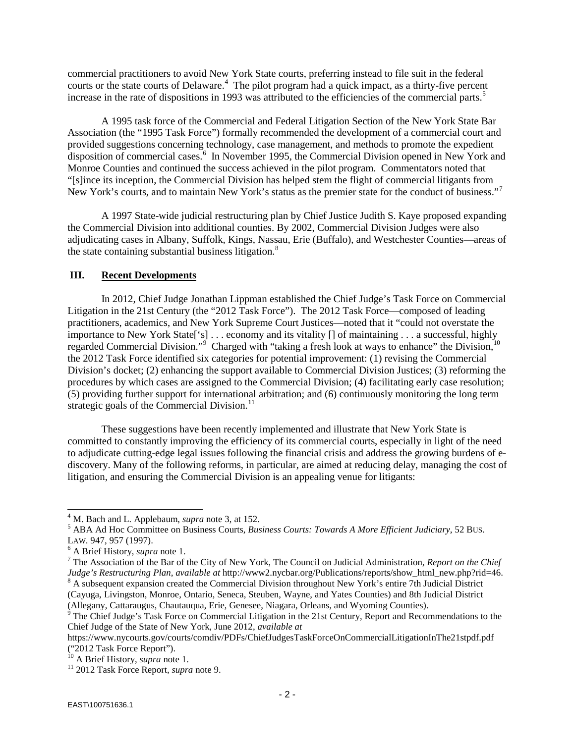commercial practitioners to avoid New York State courts, preferring instead to file suit in the federal courts or the state courts of Delaware.<sup>[4](#page-1-0)</sup> The pilot program had a quick impact, as a thirty-five percent increase in the rate of dispositions in 1993 was attributed to the efficiencies of the commercial parts.<sup>[5](#page-1-1)</sup>

A 1995 task force of the Commercial and Federal Litigation Section of the New York State Bar Association (the "1995 Task Force") formally recommended the development of a commercial court and provided suggestions concerning technology, case management, and methods to promote the expedient disposition of commercial cases.<sup>[6](#page-1-2)</sup> In November 1995, the Commercial Division opened in New York and Monroe Counties and continued the success achieved in the pilot program. Commentators noted that "[s]ince its inception, the Commercial Division has helped stem the flight of commercial litigants from New York's courts, and to maintain New York's status as the premier state for the conduct of business."<sup>[7](#page-1-3)</sup>

A 1997 State-wide judicial restructuring plan by Chief Justice Judith S. Kaye proposed expanding the Commercial Division into additional counties. By 2002, Commercial Division Judges were also adjudicating cases in Albany, Suffolk, Kings, Nassau, Erie (Buffalo), and Westchester Counties—areas of the state containing substantial business litigation.<sup>[8](#page-1-4)</sup>

## **III. Recent Developments**

In 2012, Chief Judge Jonathan Lippman established the Chief Judge's Task Force on Commercial Litigation in the 21st Century (the "2012 Task Force"). The 2012 Task Force—composed of leading practitioners, academics, and New York Supreme Court Justices—noted that it "could not overstate the importance to New York State['s] . . . economy and its vitality [] of maintaining . . . a successful, highly regarded Commercial Division."<sup>[9](#page-1-5)</sup> Charged with "taking a fresh look at ways to enhance" the Division,<sup>[10](#page-1-6)</sup> the 2012 Task Force identified six categories for potential improvement: (1) revising the Commercial Division's docket; (2) enhancing the support available to Commercial Division Justices; (3) reforming the procedures by which cases are assigned to the Commercial Division; (4) facilitating early case resolution; (5) providing further support for international arbitration; and (6) continuously monitoring the long term strategic goals of the Commercial Division. $^{11}$  $^{11}$  $^{11}$ 

These suggestions have been recently implemented and illustrate that New York State is committed to constantly improving the efficiency of its commercial courts, especially in light of the need to adjudicate cutting-edge legal issues following the financial crisis and address the growing burdens of ediscovery. Many of the following reforms, in particular, are aimed at reducing delay, managing the cost of litigation, and ensuring the Commercial Division is an appealing venue for litigants:

<span id="page-1-1"></span><span id="page-1-0"></span><sup>&</sup>lt;sup>4</sup> M. Bach and L. Applebaum, *supra* note 3, at 152.<br><sup>5</sup> ABA Ad Hoc Committee on Business Courts, *Business Courts: Towards A More Efficient Judiciary*, 52 BUS.<br>LAW. 947, 957 (1997).

<span id="page-1-3"></span><span id="page-1-2"></span><sup>&</sup>lt;sup>6</sup> A Brief History, *supra* note 1.<br><sup>7</sup> The Association of the Bar of the City of New York, The Council on Judicial Administration, *Report on the Chief* Judge's *Restructuring Plan, available at http://www2.nycbar.org/P*  $8\text{ A}$  subsequent expansion created the Commercial Division throughout New York's entire 7th Judicial District (Cayuga, Livingston, Monroe, Ontario, Seneca, Steuben, Wayne, and Yates Counties) and 8th Judicial District

<span id="page-1-5"></span><span id="page-1-4"></span> $\frac{1}{9}$  The Chief Judge's Task Force on Commercial Litigation in the 21st Century, Report and Recommendations to the Chief Judge of the State of New York, June 2012, *available at*

https://www.nycourts.gov/courts/comdiv/PDFs/ChiefJudgesTaskForceOnCommercialLitigationInThe21stpdf.pdf ("2012 Task Force Report").<br><sup>10</sup> A Brief History, *supra* note 1.

<span id="page-1-6"></span>

<span id="page-1-7"></span><sup>&</sup>lt;sup>11</sup> 2012 Task Force Report, *supra* note 9.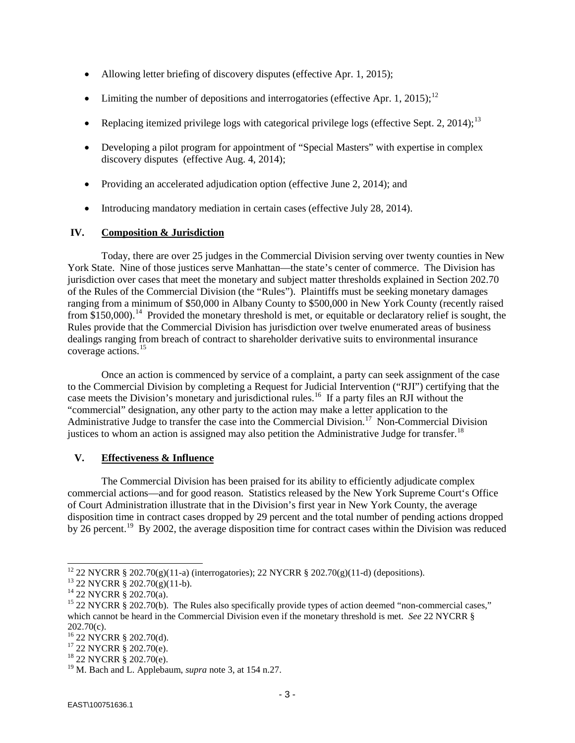- Allowing letter briefing of discovery disputes (effective Apr. 1, 2015);
- Limiting the number of depositions and interrogatories (effective Apr. 1, 2015);<sup>[12](#page-2-0)</sup>
- Replacing itemized privilege logs with categorical privilege logs (effective Sept. 2, 2014);<sup>[13](#page-2-1)</sup>
- Developing a pilot program for appointment of "Special Masters" with expertise in complex discovery disputes (effective Aug. 4, 2014);
- Providing an accelerated adjudication option (effective June 2, 2014); and
- Introducing mandatory mediation in certain cases (effective July 28, 2014).

## **IV. Composition & Jurisdiction**

Today, there are over 25 judges in the Commercial Division serving over twenty counties in New York State. Nine of those justices serve Manhattan—the state's center of commerce. The Division has jurisdiction over cases that meet the monetary and subject matter thresholds explained in Section 202.70 of the Rules of the Commercial Division (the "Rules"). Plaintiffs must be seeking monetary damages ranging from a minimum of \$50,000 in Albany County to \$500,000 in New York County (recently raised from \$150,000).<sup>[14](#page-2-2)</sup> Provided the monetary threshold is met, or equitable or declaratory relief is sought, the Rules provide that the Commercial Division has jurisdiction over twelve enumerated areas of business dealings ranging from breach of contract to shareholder derivative suits to environmental insurance coverage actions.[15](#page-2-3)

Once an action is commenced by service of a complaint, a party can seek assignment of the case to the Commercial Division by completing a Request for Judicial Intervention ("RJI") certifying that the case meets the Division's monetary and jurisdictional rules.<sup>[16](#page-2-4)</sup> If a party files an RJI without the "commercial" designation, any other party to the action may make a letter application to the Administrative Judge to transfer the case into the Commercial Division.<sup>[17](#page-2-5)</sup> Non-Commercial Division justices to whom an action is assigned may also petition the Administrative Judge for transfer.<sup>[18](#page-2-6)</sup>

#### **V. Effectiveness & Influence**

The Commercial Division has been praised for its ability to efficiently adjudicate complex commercial actions—and for good reason. Statistics released by the New York Supreme Court's Office of Court Administration illustrate that in the Division's first year in New York County, the average disposition time in contract cases dropped by 29 percent and the total number of pending actions dropped by 26 percent.<sup>[19](#page-2-7)</sup> By 2002, the average disposition time for contract cases within the Division was reduced

<span id="page-2-1"></span><span id="page-2-0"></span><sup>&</sup>lt;sup>12</sup> 22 NYCRR § 202.70(g)(11-a) (interrogatories); 22 NYCRR § 202.70(g)(11-d) (depositions).<br><sup>13</sup> 22 NYCRR § 202.70(g)(11-b).<br><sup>14</sup> 22 NYCRR § 202.70(a).<br><sup>15</sup> 22 NYCRR § 202.70(b). The Rules also specifically provide types

<span id="page-2-3"></span><span id="page-2-2"></span>which cannot be heard in the Commercial Division even if the monetary threshold is met. *See* 22 NYCRR §

<sup>202.70(</sup>c).<br><sup>16</sup> 22 NYCRR § 202.70(d).

<span id="page-2-5"></span><span id="page-2-4"></span><sup>&</sup>lt;sup>17</sup> 22 NYCRR § 202.70(e).<br><sup>18</sup> 22 NYCRR § 202.70(e).

<span id="page-2-6"></span>

<span id="page-2-7"></span><sup>19</sup> M. Bach and L. Applebaum, *supra* note 3, at 154 n.27.